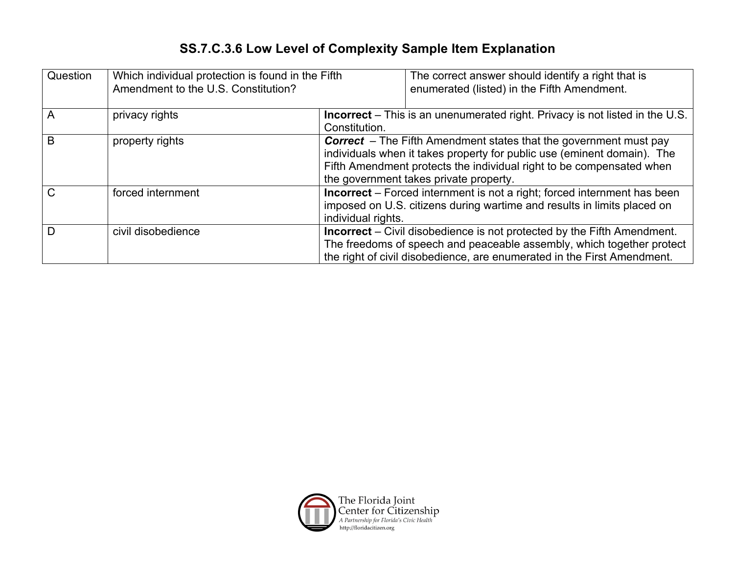## **SS.7.C.3.6 Low Level of Complexity Sample Item Explanation**

| Question | Which individual protection is found in the Fifth<br>Amendment to the U.S. Constitution? |                                                                                                                                                                                                                                                                       | The correct answer should identify a right that is<br>enumerated (listed) in the Fifth Amendment. |  |
|----------|------------------------------------------------------------------------------------------|-----------------------------------------------------------------------------------------------------------------------------------------------------------------------------------------------------------------------------------------------------------------------|---------------------------------------------------------------------------------------------------|--|
| A        | privacy rights                                                                           | <b>Incorrect</b> – This is an unenumerated right. Privacy is not listed in the U.S.<br>Constitution.                                                                                                                                                                  |                                                                                                   |  |
| В        | property rights                                                                          | <b>Correct</b> – The Fifth Amendment states that the government must pay<br>individuals when it takes property for public use (eminent domain). The<br>Fifth Amendment protects the individual right to be compensated when<br>the government takes private property. |                                                                                                   |  |
|          | forced internment                                                                        | <b>Incorrect</b> – Forced internment is not a right; forced internment has been<br>imposed on U.S. citizens during wartime and results in limits placed on<br>individual rights.                                                                                      |                                                                                                   |  |
|          | civil disobedience                                                                       | <b>Incorrect</b> – Civil disobedience is not protected by the Fifth Amendment.<br>The freedoms of speech and peaceable assembly, which together protect<br>the right of civil disobedience, are enumerated in the First Amendment.                                    |                                                                                                   |  |

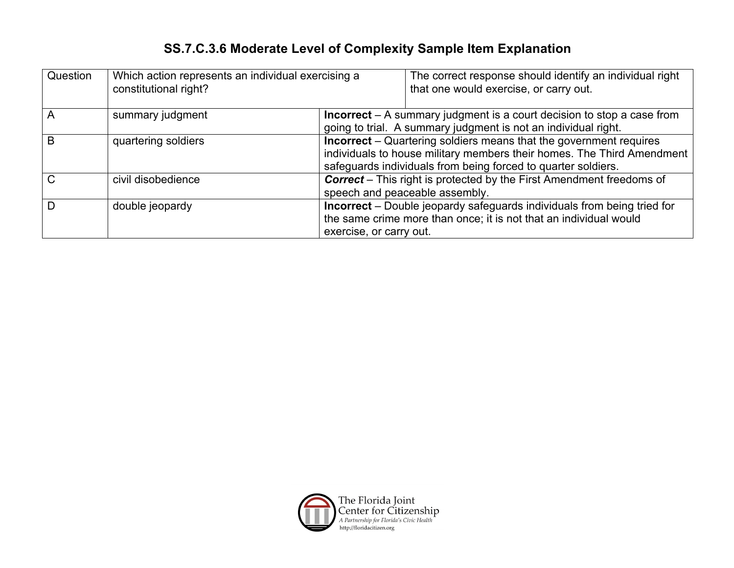## **SS.7.C.3.6 Moderate Level of Complexity Sample Item Explanation**

| Question | Which action represents an individual exercising a<br>constitutional right? |                                                                                                                                                                                | The correct response should identify an individual right<br>that one would exercise, or carry out. |  |  |
|----------|-----------------------------------------------------------------------------|--------------------------------------------------------------------------------------------------------------------------------------------------------------------------------|----------------------------------------------------------------------------------------------------|--|--|
|          | summary judgment                                                            | <b>Incorrect</b> – A summary judgment is a court decision to stop a case from<br>going to trial. A summary judgment is not an individual right.                                |                                                                                                    |  |  |
|          |                                                                             |                                                                                                                                                                                |                                                                                                    |  |  |
| B        | quartering soldiers                                                         | <b>Incorrect</b> – Quartering soldiers means that the government requires<br>individuals to house military members their homes. The Third Amendment                            |                                                                                                    |  |  |
|          |                                                                             |                                                                                                                                                                                |                                                                                                    |  |  |
|          |                                                                             | safeguards individuals from being forced to quarter soldiers.                                                                                                                  |                                                                                                    |  |  |
|          | civil disobedience                                                          | <b>Correct</b> – This right is protected by the First Amendment freedoms of<br>speech and peaceable assembly.                                                                  |                                                                                                    |  |  |
|          |                                                                             |                                                                                                                                                                                |                                                                                                    |  |  |
|          | double jeopardy                                                             | <b>Incorrect</b> – Double jeopardy safeguards individuals from being tried for<br>the same crime more than once; it is not that an individual would<br>exercise, or carry out. |                                                                                                    |  |  |
|          |                                                                             |                                                                                                                                                                                |                                                                                                    |  |  |
|          |                                                                             |                                                                                                                                                                                |                                                                                                    |  |  |